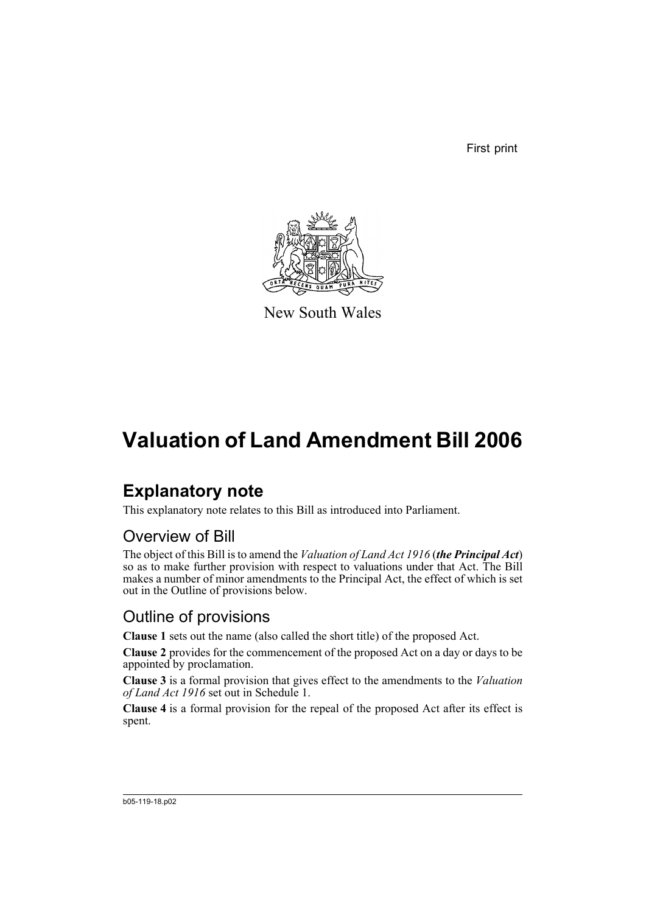First print



New South Wales

## **Valuation of Land Amendment Bill 2006**

## **Explanatory note**

This explanatory note relates to this Bill as introduced into Parliament.

### Overview of Bill

The object of this Bill is to amend the *Valuation of Land Act 1916* (*the Principal Act*) so as to make further provision with respect to valuations under that Act. The Bill makes a number of minor amendments to the Principal Act, the effect of which is set out in the Outline of provisions below.

### Outline of provisions

**Clause 1** sets out the name (also called the short title) of the proposed Act.

**Clause 2** provides for the commencement of the proposed Act on a day or days to be appointed by proclamation.

**Clause 3** is a formal provision that gives effect to the amendments to the *Valuation of Land Act 1916* set out in Schedule 1.

**Clause 4** is a formal provision for the repeal of the proposed Act after its effect is spent.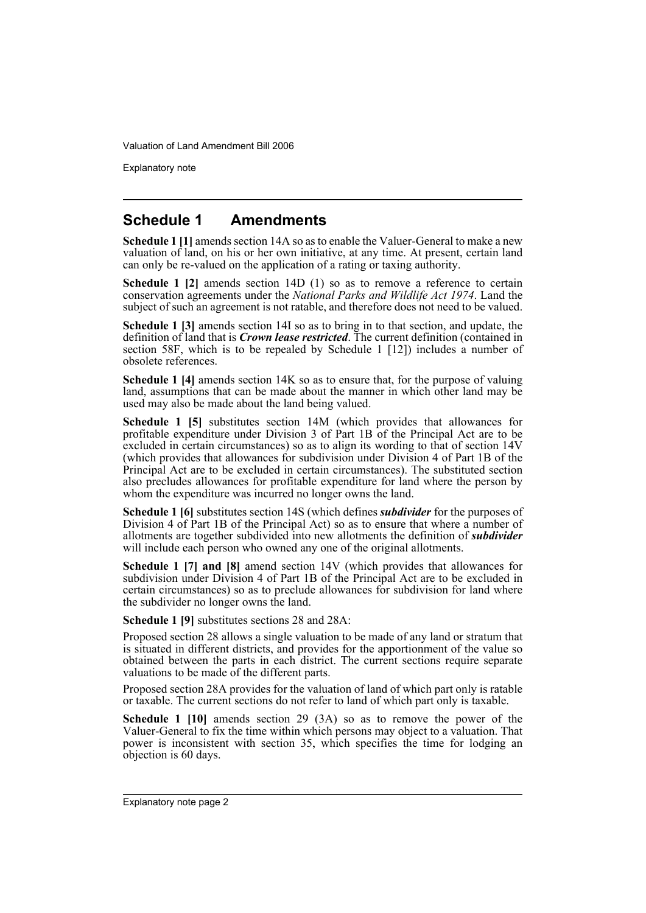Explanatory note

#### **Schedule 1 Amendments**

**Schedule 1 [1]** amends section 14A so as to enable the Valuer-General to make a new valuation of land, on his or her own initiative, at any time. At present, certain land can only be re-valued on the application of a rating or taxing authority.

**Schedule 1 [2]** amends section 14D (1) so as to remove a reference to certain conservation agreements under the *National Parks and Wildlife Act 1974*. Land the subject of such an agreement is not ratable, and therefore does not need to be valued.

**Schedule 1 [3]** amends section 14I so as to bring in to that section, and update, the definition of land that is *Crown lease restricted*. The current definition (contained in section 58F, which is to be repealed by Schedule 1 [12]) includes a number of obsolete references.

**Schedule 1 [4]** amends section 14K so as to ensure that, for the purpose of valuing land, assumptions that can be made about the manner in which other land may be used may also be made about the land being valued.

**Schedule 1 [5]** substitutes section 14M (which provides that allowances for profitable expenditure under Division 3 of Part 1B of the Principal Act are to be excluded in certain circumstances) so as to align its wording to that of section 14V (which provides that allowances for subdivision under Division 4 of Part 1B of the Principal Act are to be excluded in certain circumstances). The substituted section also precludes allowances for profitable expenditure for land where the person by whom the expenditure was incurred no longer owns the land.

**Schedule 1 [6]** substitutes section 14S (which defines *subdivider* for the purposes of Division 4 of Part 1B of the Principal Act) so as to ensure that where a number of allotments are together subdivided into new allotments the definition of *subdivider* will include each person who owned any one of the original allotments.

**Schedule 1 [7] and [8]** amend section 14V (which provides that allowances for subdivision under Division 4 of Part 1B of the Principal Act are to be excluded in certain circumstances) so as to preclude allowances for subdivision for land where the subdivider no longer owns the land.

**Schedule 1 [9]** substitutes sections 28 and 28A:

Proposed section 28 allows a single valuation to be made of any land or stratum that is situated in different districts, and provides for the apportionment of the value so obtained between the parts in each district. The current sections require separate valuations to be made of the different parts.

Proposed section 28A provides for the valuation of land of which part only is ratable or taxable. The current sections do not refer to land of which part only is taxable.

**Schedule 1 [10]** amends section 29 (3A) so as to remove the power of the Valuer-General to fix the time within which persons may object to a valuation. That power is inconsistent with section 35, which specifies the time for lodging an objection is 60 days.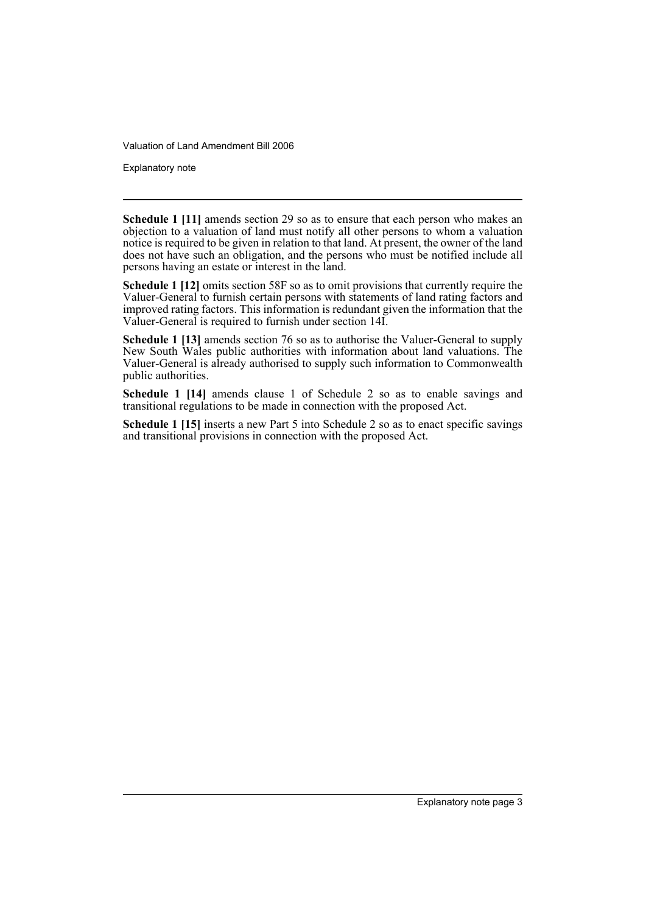Explanatory note

**Schedule 1 [11]** amends section 29 so as to ensure that each person who makes an objection to a valuation of land must notify all other persons to whom a valuation notice is required to be given in relation to that land. At present, the owner of the land does not have such an obligation, and the persons who must be notified include all persons having an estate or interest in the land.

**Schedule 1 [12]** omits section 58F so as to omit provisions that currently require the Valuer-General to furnish certain persons with statements of land rating factors and improved rating factors. This information is redundant given the information that the Valuer-General is required to furnish under section 14I.

**Schedule 1 [13]** amends section 76 so as to authorise the Valuer-General to supply New South Wales public authorities with information about land valuations. The Valuer-General is already authorised to supply such information to Commonwealth public authorities.

**Schedule 1 [14]** amends clause 1 of Schedule 2 so as to enable savings and transitional regulations to be made in connection with the proposed Act.

**Schedule 1 [15]** inserts a new Part 5 into Schedule 2 so as to enact specific savings and transitional provisions in connection with the proposed Act.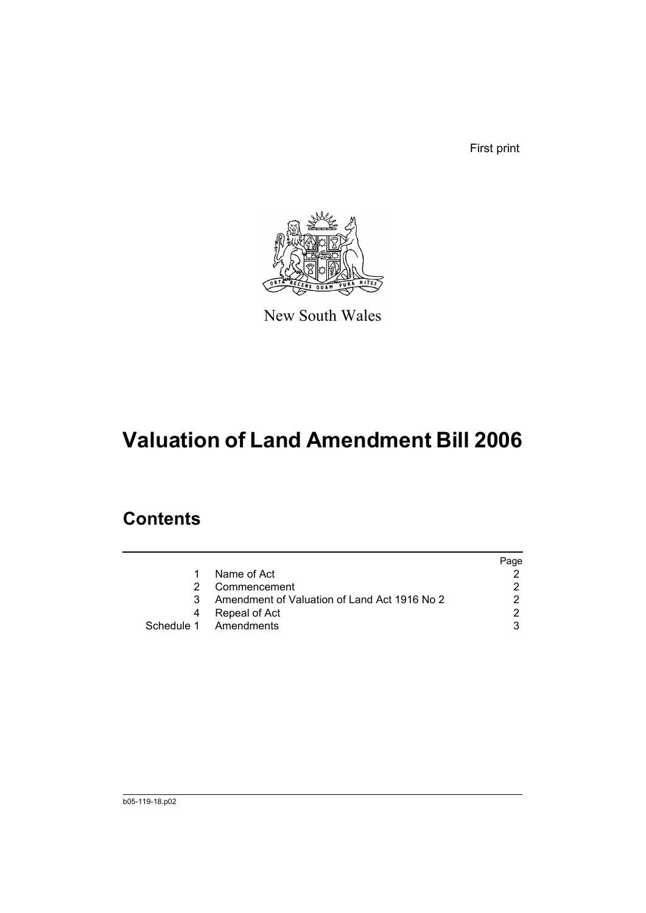First print



New South Wales

# **Valuation of Land Amendment Bill 2006**

## **Contents**

|    |                                              | Page |
|----|----------------------------------------------|------|
| 1. | Name of Act                                  |      |
|    | Commencement                                 |      |
| 3  | Amendment of Valuation of Land Act 1916 No 2 |      |
|    | Repeal of Act                                |      |
|    | Schedule 1 Amendments                        |      |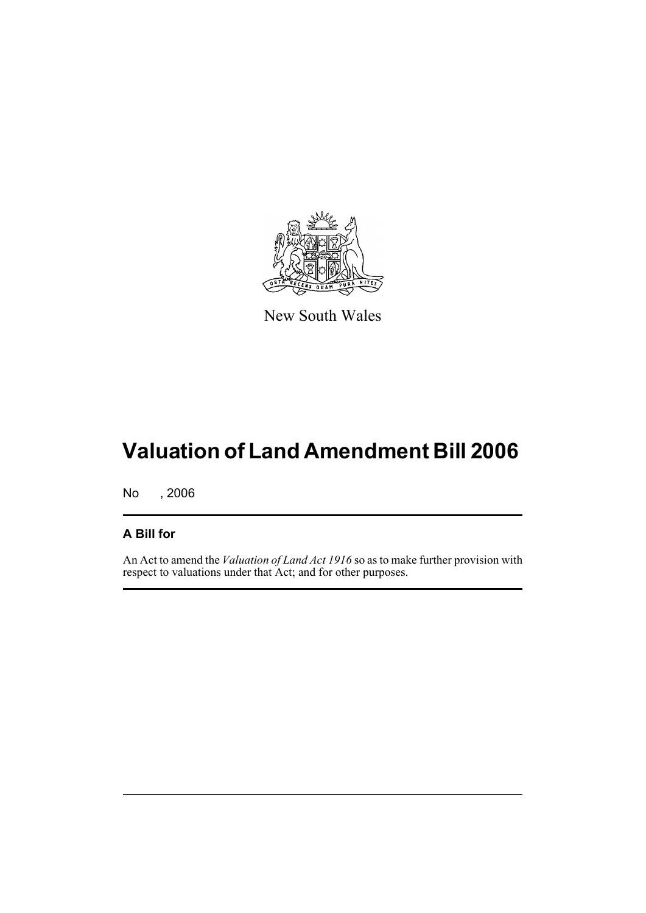

New South Wales

# **Valuation of Land Amendment Bill 2006**

No , 2006

#### **A Bill for**

An Act to amend the *Valuation of Land Act 1916* so as to make further provision with respect to valuations under that Act; and for other purposes.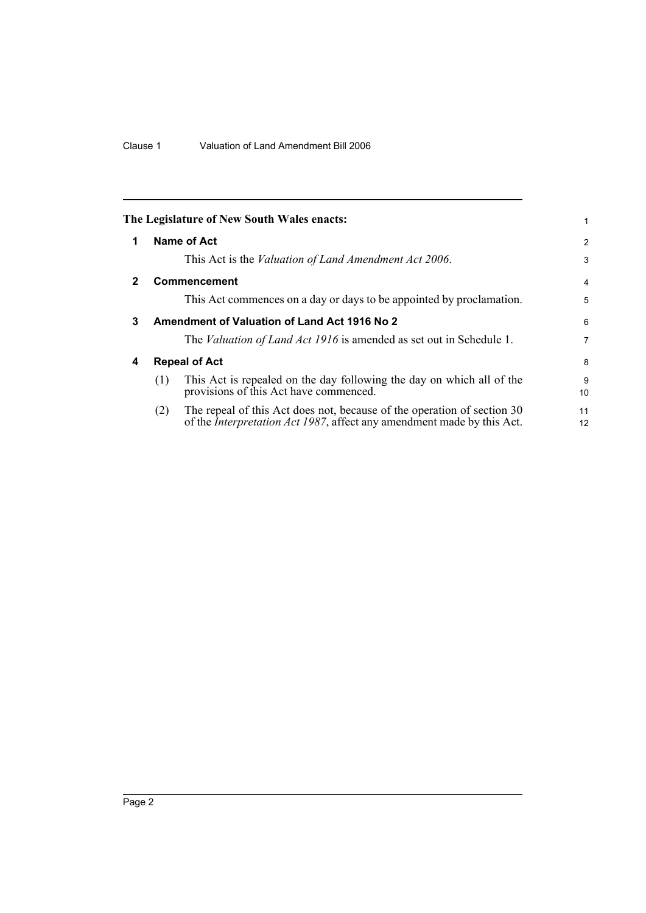|              | The Legislature of New South Wales enacts:                                                                                                                       |          |
|--------------|------------------------------------------------------------------------------------------------------------------------------------------------------------------|----------|
| 1            | Name of Act                                                                                                                                                      | 2        |
|              | This Act is the <i>Valuation of Land Amendment Act 2006</i> .                                                                                                    | 3        |
| $\mathbf{2}$ | <b>Commencement</b>                                                                                                                                              | 4        |
|              | This Act commences on a day or days to be appointed by proclamation.                                                                                             | 5        |
| 3            | <b>Amendment of Valuation of Land Act 1916 No 2</b>                                                                                                              | 6        |
|              | The <i>Valuation of Land Act 1916</i> is amended as set out in Schedule 1.                                                                                       | 7        |
| 4            | <b>Repeal of Act</b>                                                                                                                                             | 8        |
|              | This Act is repealed on the day following the day on which all of the<br>(1)<br>provisions of this Act have commenced.                                           | 9<br>10  |
|              | The repeal of this Act does not, because of the operation of section 30<br>(2)<br>of the <i>Interpretation Act 1987</i> , affect any amendment made by this Act. | 11<br>12 |
|              |                                                                                                                                                                  |          |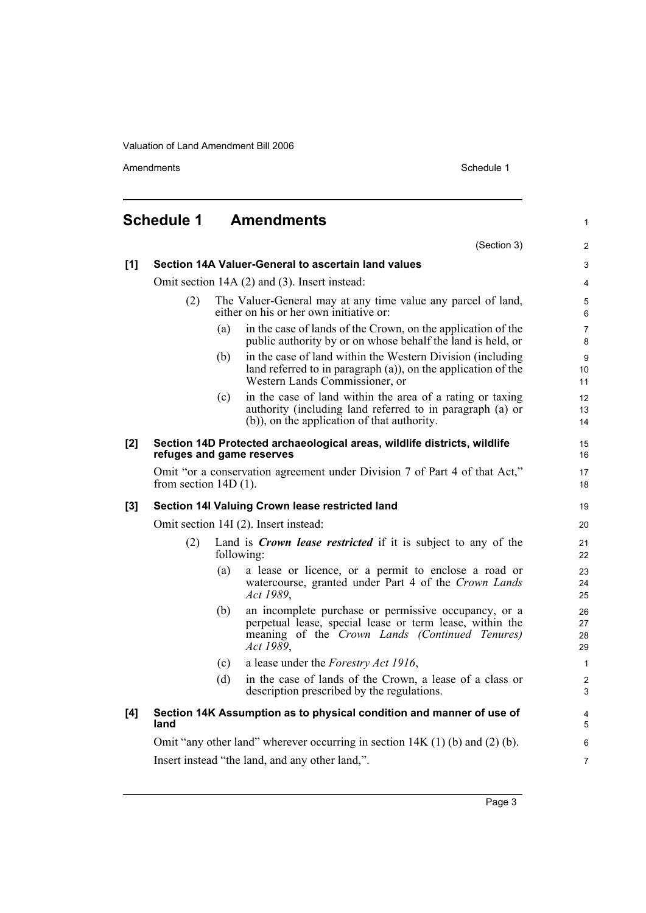Amendments Schedule 1

|     | <b>Schedule 1</b>                                                                                     |     | <b>Amendments</b>                                                                                                                                                               | $\mathbf{1}$                |  |  |
|-----|-------------------------------------------------------------------------------------------------------|-----|---------------------------------------------------------------------------------------------------------------------------------------------------------------------------------|-----------------------------|--|--|
|     |                                                                                                       |     | (Section 3)                                                                                                                                                                     | $\overline{2}$              |  |  |
| [1] | Section 14A Valuer-General to ascertain land values                                                   |     |                                                                                                                                                                                 |                             |  |  |
|     | Omit section 14A (2) and (3). Insert instead:                                                         |     |                                                                                                                                                                                 |                             |  |  |
|     | (2)                                                                                                   |     | The Valuer-General may at any time value any parcel of land,<br>either on his or her own initiative or:                                                                         | 5<br>6                      |  |  |
|     |                                                                                                       | (a) | in the case of lands of the Crown, on the application of the<br>public authority by or on whose behalf the land is held, or                                                     | $\overline{7}$<br>8         |  |  |
|     |                                                                                                       | (b) | in the case of land within the Western Division (including<br>land referred to in paragraph (a)), on the application of the<br>Western Lands Commissioner, or                   | 9<br>10 <sup>°</sup><br>11  |  |  |
|     |                                                                                                       | (c) | in the case of land within the area of a rating or taxing<br>authority (including land referred to in paragraph (a) or<br>(b)), on the application of that authority.           | 12 <sup>2</sup><br>13<br>14 |  |  |
| [2] |                                                                                                       |     | Section 14D Protected archaeological areas, wildlife districts, wildlife<br>refuges and game reserves                                                                           | 15<br>16                    |  |  |
|     | Omit "or a conservation agreement under Division 7 of Part 4 of that Act,"<br>from section $14D(1)$ . |     |                                                                                                                                                                                 |                             |  |  |
| [3] | Section 14I Valuing Crown lease restricted land                                                       |     |                                                                                                                                                                                 |                             |  |  |
|     | Omit section 14I (2). Insert instead:                                                                 |     |                                                                                                                                                                                 |                             |  |  |
|     | (2)                                                                                                   |     | Land is <i>Crown lease restricted</i> if it is subject to any of the<br>following:                                                                                              | 21<br>22                    |  |  |
|     |                                                                                                       | (a) | a lease or licence, or a permit to enclose a road or<br>watercourse, granted under Part 4 of the Crown Lands<br>Act 1989,                                                       | 23<br>24<br>25              |  |  |
|     |                                                                                                       | (b) | an incomplete purchase or permissive occupancy, or a<br>perpetual lease, special lease or term lease, within the<br>meaning of the Crown Lands (Continued Tenures)<br>Act 1989, | 26<br>27<br>28<br>29        |  |  |
|     |                                                                                                       | (c) | a lease under the <i>Forestry Act 1916</i> ,                                                                                                                                    | $\mathbf{1}$                |  |  |
|     |                                                                                                       | (d) | in the case of lands of the Crown, a lease of a class or<br>description prescribed by the regulations.                                                                          | $\overline{c}$<br>3         |  |  |
| [4] | land                                                                                                  |     | Section 14K Assumption as to physical condition and manner of use of                                                                                                            | 4<br>5                      |  |  |
|     | Omit "any other land" wherever occurring in section $14K(1)$ (b) and (2) (b).                         |     |                                                                                                                                                                                 |                             |  |  |
|     | Insert instead "the land, and any other land,".                                                       |     |                                                                                                                                                                                 |                             |  |  |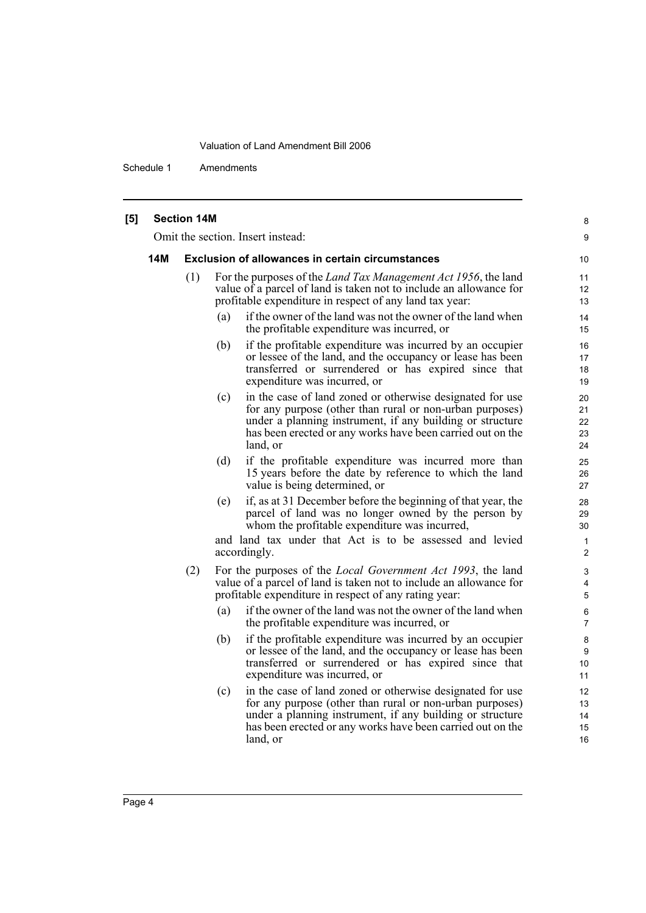Schedule 1 Amendments

|     | <b>Section 14M</b> |                                                                                                                                                                                                                                                                     | 8                              |
|-----|--------------------|---------------------------------------------------------------------------------------------------------------------------------------------------------------------------------------------------------------------------------------------------------------------|--------------------------------|
|     |                    | Omit the section. Insert instead:                                                                                                                                                                                                                                   | 9                              |
| 14M |                    | <b>Exclusion of allowances in certain circumstances</b>                                                                                                                                                                                                             | 10                             |
|     | (1)                | For the purposes of the <i>Land Tax Management Act 1956</i> , the land<br>value of a parcel of land is taken not to include an allowance for<br>profitable expenditure in respect of any land tax year:                                                             | 11<br>12<br>13                 |
|     |                    | if the owner of the land was not the owner of the land when<br>(a)<br>the profitable expenditure was incurred, or                                                                                                                                                   | 14<br>15                       |
|     |                    | if the profitable expenditure was incurred by an occupier<br>(b)<br>or lessee of the land, and the occupancy or lease has been<br>transferred or surrendered or has expired since that<br>expenditure was incurred, or                                              | 16<br>17<br>18<br>19           |
|     |                    | in the case of land zoned or otherwise designated for use<br>(c)<br>for any purpose (other than rural or non-urban purposes)<br>under a planning instrument, if any building or structure<br>has been erected or any works have been carried out on the<br>land, or | 20<br>21<br>22<br>23<br>24     |
|     |                    | if the profitable expenditure was incurred more than<br>(d)<br>15 years before the date by reference to which the land<br>value is being determined, or                                                                                                             | 25<br>26<br>27                 |
|     |                    | if, as at 31 December before the beginning of that year, the<br>(e)<br>parcel of land was no longer owned by the person by<br>whom the profitable expenditure was incurred,                                                                                         | 28<br>29<br>30                 |
|     |                    | and land tax under that Act is to be assessed and levied<br>accordingly.                                                                                                                                                                                            | $\mathbf{1}$<br>$\overline{2}$ |
|     | (2)                | For the purposes of the <i>Local Government Act 1993</i> , the land<br>value of a parcel of land is taken not to include an allowance for<br>profitable expenditure in respect of any rating year:                                                                  | 3<br>4<br>5                    |
|     |                    | if the owner of the land was not the owner of the land when<br>(a)<br>the profitable expenditure was incurred, or                                                                                                                                                   | 6<br>7                         |
|     |                    | if the profitable expenditure was incurred by an occupier<br>(b)<br>or lessee of the land, and the occupancy or lease has been<br>transferred or surrendered or has expired since that<br>expenditure was incurred, or                                              | 8<br>9<br>10<br>11             |
|     |                    | in the case of land zoned or otherwise designated for use<br>(c)<br>for any purpose (other than rural or non-urban purposes)<br>under a planning instrument, if any building or structure<br>has been erected or any works have been carried out on the<br>land, or | 12<br>13<br>14<br>15<br>16     |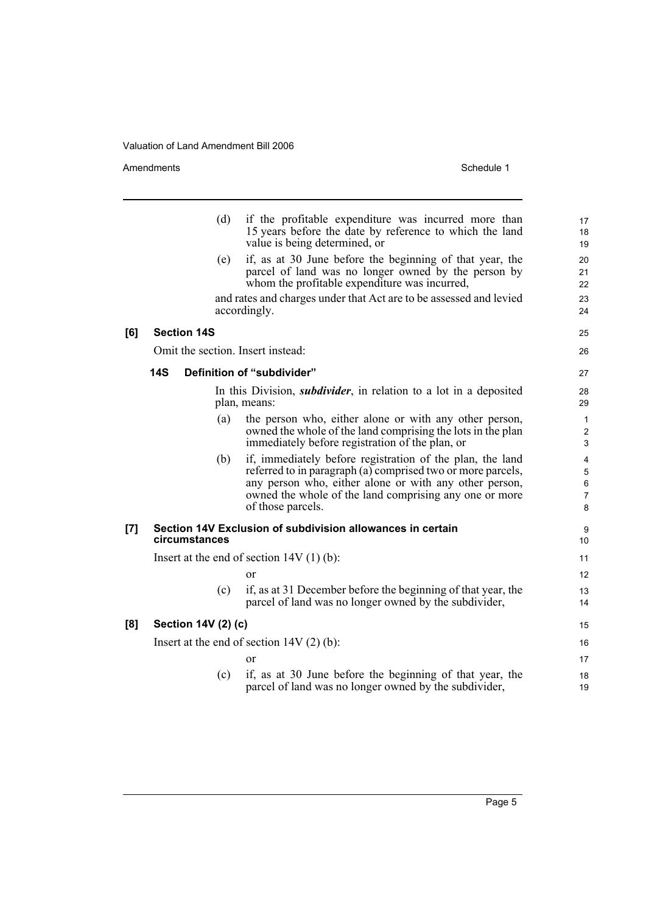Amendments Schedule 1

|     |                     | (d) | if the profitable expenditure was incurred more than<br>15 years before the date by reference to which the land<br>value is being determined, or                                                                                                                  | 17<br>18<br>19                    |
|-----|---------------------|-----|-------------------------------------------------------------------------------------------------------------------------------------------------------------------------------------------------------------------------------------------------------------------|-----------------------------------|
|     |                     | (e) | if, as at 30 June before the beginning of that year, the<br>parcel of land was no longer owned by the person by<br>whom the profitable expenditure was incurred,                                                                                                  | 20<br>21<br>22                    |
|     |                     |     | and rates and charges under that Act are to be assessed and levied<br>accordingly.                                                                                                                                                                                | 23<br>24                          |
| [6] | <b>Section 14S</b>  |     |                                                                                                                                                                                                                                                                   | 25                                |
|     |                     |     | Omit the section. Insert instead:                                                                                                                                                                                                                                 | 26                                |
|     | <b>14S</b>          |     | Definition of "subdivider"                                                                                                                                                                                                                                        | 27                                |
|     |                     |     | In this Division, <i>subdivider</i> , in relation to a lot in a deposited<br>plan, means:                                                                                                                                                                         | 28<br>29                          |
|     |                     | (a) | the person who, either alone or with any other person,<br>owned the whole of the land comprising the lots in the plan<br>immediately before registration of the plan, or                                                                                          | 1<br>$\overline{\mathbf{c}}$<br>3 |
|     |                     | (b) | if, immediately before registration of the plan, the land<br>referred to in paragraph (a) comprised two or more parcels,<br>any person who, either alone or with any other person,<br>owned the whole of the land comprising any one or more<br>of those parcels. | 4<br>5<br>6<br>7<br>8             |
| [7] | circumstances       |     | Section 14V Exclusion of subdivision allowances in certain                                                                                                                                                                                                        | 9<br>10                           |
|     |                     |     | Insert at the end of section $14V(1)(b)$ :                                                                                                                                                                                                                        | 11                                |
|     |                     |     | or                                                                                                                                                                                                                                                                | 12                                |
|     |                     | (c) | if, as at 31 December before the beginning of that year, the<br>parcel of land was no longer owned by the subdivider,                                                                                                                                             | 13<br>14                          |
| [8] | Section 14V (2) (c) |     |                                                                                                                                                                                                                                                                   | 15                                |
|     |                     |     | Insert at the end of section $14V(2)(b)$ :                                                                                                                                                                                                                        | 16                                |
|     |                     |     | or                                                                                                                                                                                                                                                                | 17                                |
|     |                     | (c) | if, as at 30 June before the beginning of that year, the<br>parcel of land was no longer owned by the subdivider,                                                                                                                                                 | 18<br>19                          |
|     |                     |     |                                                                                                                                                                                                                                                                   |                                   |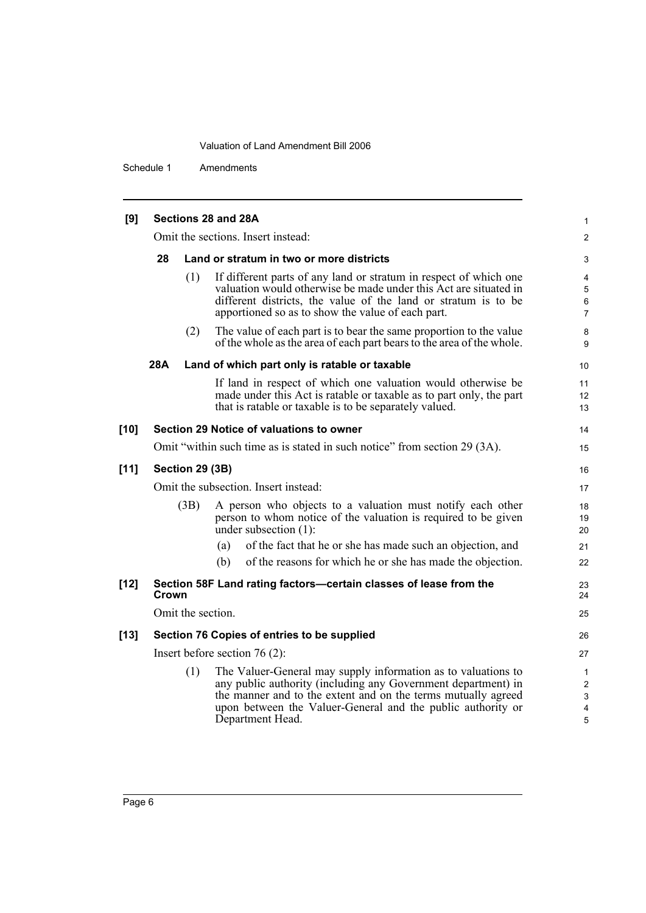Schedule 1 Amendments

| [9]    |                                             |                   | Sections 28 and 28A                                                                                                                                                                                                                                                                | 1                                             |  |
|--------|---------------------------------------------|-------------------|------------------------------------------------------------------------------------------------------------------------------------------------------------------------------------------------------------------------------------------------------------------------------------|-----------------------------------------------|--|
|        |                                             |                   | Omit the sections. Insert instead:                                                                                                                                                                                                                                                 | $\overline{2}$                                |  |
|        | 28                                          |                   | Land or stratum in two or more districts                                                                                                                                                                                                                                           | 3                                             |  |
|        |                                             | (1)               | If different parts of any land or stratum in respect of which one<br>valuation would otherwise be made under this Act are situated in<br>different districts, the value of the land or stratum is to be<br>apportioned so as to show the value of each part.                       | 4<br>$\sqrt{5}$<br>$\,6\,$<br>$\overline{7}$  |  |
|        |                                             | (2)               | The value of each part is to bear the same proportion to the value<br>of the whole as the area of each part bears to the area of the whole.                                                                                                                                        | 8<br>9                                        |  |
|        | 28A                                         |                   | Land of which part only is ratable or taxable                                                                                                                                                                                                                                      | 10                                            |  |
|        |                                             |                   | If land in respect of which one valuation would otherwise be<br>made under this Act is ratable or taxable as to part only, the part<br>that is ratable or taxable is to be separately valued.                                                                                      | 11<br>12<br>13                                |  |
| $[10]$ |                                             |                   | Section 29 Notice of valuations to owner                                                                                                                                                                                                                                           | 14                                            |  |
|        |                                             |                   | Omit "within such time as is stated in such notice" from section 29 (3A).                                                                                                                                                                                                          | 15                                            |  |
| $[11]$ | Section 29 (3B)                             |                   |                                                                                                                                                                                                                                                                                    |                                               |  |
|        | Omit the subsection. Insert instead:        |                   |                                                                                                                                                                                                                                                                                    |                                               |  |
|        |                                             | (3B)              | A person who objects to a valuation must notify each other<br>person to whom notice of the valuation is required to be given<br>under subsection $(1)$ :                                                                                                                           | 18<br>19<br>20                                |  |
|        |                                             |                   | of the fact that he or she has made such an objection, and<br>(a)                                                                                                                                                                                                                  | 21                                            |  |
|        |                                             |                   | (b)<br>of the reasons for which he or she has made the objection.                                                                                                                                                                                                                  | 22                                            |  |
| $[12]$ | Crown                                       |                   | Section 58F Land rating factors-certain classes of lease from the                                                                                                                                                                                                                  | 23<br>24                                      |  |
|        |                                             | Omit the section. |                                                                                                                                                                                                                                                                                    | 25                                            |  |
| $[13]$ | Section 76 Copies of entries to be supplied |                   |                                                                                                                                                                                                                                                                                    |                                               |  |
|        | Insert before section $76(2)$ :             |                   |                                                                                                                                                                                                                                                                                    |                                               |  |
|        |                                             | (1)               | The Valuer-General may supply information as to valuations to<br>any public authority (including any Government department) in<br>the manner and to the extent and on the terms mutually agreed<br>upon between the Valuer-General and the public authority or<br>Department Head. | $\mathbf{1}$<br>$\overline{c}$<br>3<br>4<br>5 |  |